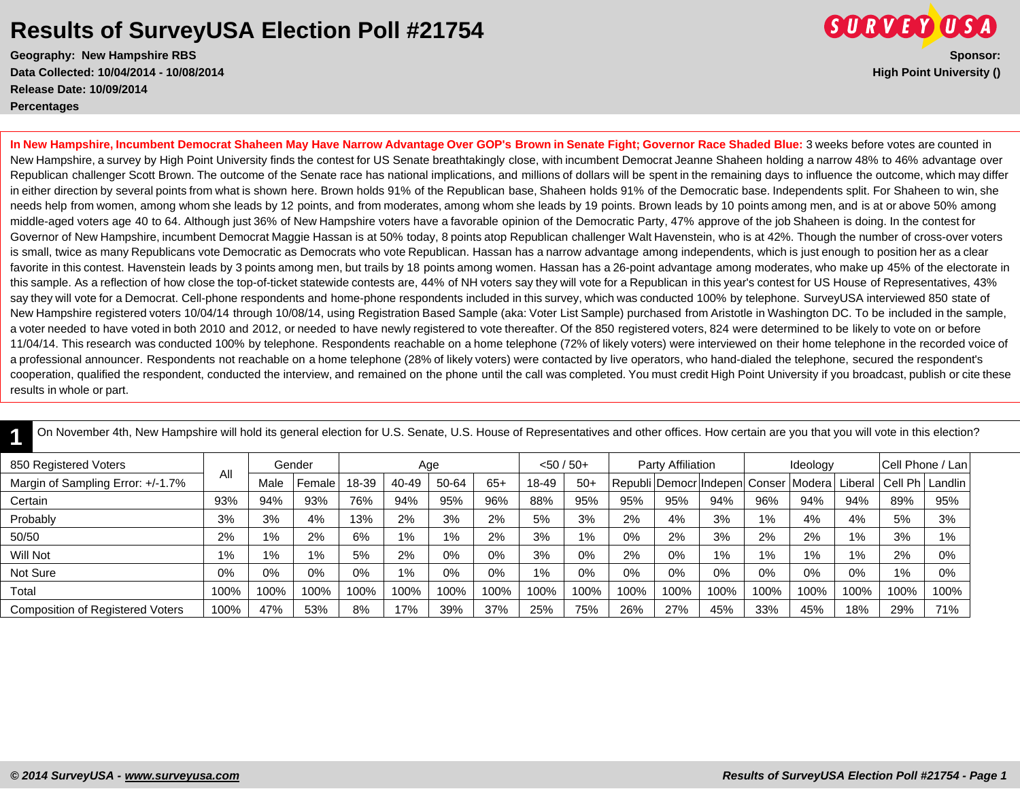**Geography: New Hampshire RBS Sponsor: Data Collected: 10/04/2014 - 10/08/2014 High Point University () Release Date: 10/09/2014 Percentages**



**In New Hampshire, Incumbent Democrat Shaheen May Have Narrow Advantage Over GOP's Brown in Senate Fight; Governor Race Shaded Blue:** 3 weeks before votes are counted in New Hampshire, a survey by High Point University finds the contest for US Senate breathtakingly close, with incumbent Democrat Jeanne Shaheen holding a narrow 48% to 46% advantage over Republican challenger Scott Brown. The outcome of the Senate race has national implications, and millions of dollars will be spent in the remaining days to influence the outcome, which may differ in either direction by several points from what is shown here. Brown holds 91% of the Republican base, Shaheen holds 91% of the Democratic base. Independents split. For Shaheen to win, she needs help from women, among whom she leads by 12 points, and from moderates, among whom she leads by 19 points. Brown leads by 10 points among men, and is at or above 50% among middle-aged voters age 40 to 64. Although just 36% of New Hampshire voters have a favorable opinion of the Democratic Party, 47% approve of the job Shaheen is doing. In the contest for Governor of New Hampshire, incumbent Democrat Maggie Hassan is at 50% today, 8 points atop Republican challenger Walt Havenstein, who is at 42%. Though the number of cross-over voters is small, twice as many Republicans vote Democratic as Democrats who vote Republican. Hassan has a narrow advantage among independents, which is just enough to position her as a clear favorite in this contest. Havenstein leads by 3 points among men, but trails by 18 points among women. Hassan has a 26-point advantage among moderates, who make up 45% of the electorate in this sample. As a reflection of how close the top-of-ticket statewide contests are, 44% of NH voters say they will vote for a Republican in this year's contest for US House of Representatives, 43% say they will vote for a Democrat. Cell-phone respondents and home-phone respondents included in this survey, which was conducted 100% by telephone. SurveyUSA interviewed 850 state of New Hampshire registered voters 10/04/14 through 10/08/14, using Registration Based Sample (aka: Voter List Sample) purchased from Aristotle in Washington DC. To be included in the sample, a voter needed to have voted in both 2010 and 2012, or needed to have newly registered to vote thereafter. Of the 850 registered voters, 824 were determined to be likely to vote on or before 11/04/14. This research was conducted 100% by telephone. Respondents reachable on a home telephone (72% of likely voters) were interviewed on their home telephone in the recorded voice of a professional announcer. Respondents not reachable on a home telephone (28% of likely voters) were contacted by live operators, who hand-dialed the telephone, secured the respondent's cooperation, qualified the respondent, conducted the interview, and remained on the phone until the call was completed. You must credit High Point University if you broadcast, publish or cite these results in whole or part.

| On November 4th, New Hampshire will hold its general election for U.S. Senate, U.S. House of Representatives and other offices. How certain are you that you will vote in this election? |      |       |        |       |       |       |       |              |       |      |                   |                                              |       |          |         |                     |                  |
|------------------------------------------------------------------------------------------------------------------------------------------------------------------------------------------|------|-------|--------|-------|-------|-------|-------|--------------|-------|------|-------------------|----------------------------------------------|-------|----------|---------|---------------------|------------------|
| 850 Registered Voters                                                                                                                                                                    | All  |       | Gender |       | Age   |       |       | $<$ 50 / 50+ |       |      | Party Affiliation |                                              |       | Ideology |         |                     | Cell Phone / Lan |
| Margin of Sampling Error: +/-1.7%                                                                                                                                                        |      | Male  | Female | 18-39 | 40-49 | 50-64 | $65+$ | 18-49        | $50+$ |      |                   | Republi   Democr   Indepen   Conser   Modera |       |          | Liberal | l Cell Ph   Landlin |                  |
| Certain                                                                                                                                                                                  | 93%  | 94%   | 93%    | 76%   | 94%   | 95%   | 96%   | 88%          | 95%   | 95%  | 95%               | 94%                                          | 96%   | 94%      | 94%     | 89%                 | 95%              |
| Probably                                                                                                                                                                                 | 3%   | 3%    | 4%     | 13%   | 2%    | 3%    | 2%    | 5%           | 3%    | 2%   | 4%                | 3%                                           | 1%    | 4%       | 4%      | 5%                  | 3%               |
| 50/50                                                                                                                                                                                    | 2%   | $1\%$ | 2%     | 6%    | $1\%$ | 1%    | 2%    | 3%           | 1%    | 0%   | 2%                | 3%                                           | 2%    | 2%       | 1%      | 3%                  | 1%               |
| Will Not                                                                                                                                                                                 | 1%   | $1\%$ | $1\%$  | 5%    | 2%    | 0%    | 0%    | 3%           | 0%    | 2%   | $0\%$             | 1%                                           | $1\%$ | $1\%$    | 1%      | 2%                  | 0%               |
| Not Sure                                                                                                                                                                                 | 0%   | 0%    | $0\%$  | 0%    | $1\%$ | 0%    | 0%    | $1\%$        | 0%    | 0%   | $0\%$             | $0\%$                                        | 0%    | 0%       | 0%      | 1%                  | 0%               |
| Total                                                                                                                                                                                    | 100% | 100%  | 100%   | 100%  | 100%  | 100%  | 100%  | 100%         | 100%  | 100% | 100%              | 100%                                         | 100%  | 100%     | 100%    | 100%                | 100%             |
| <b>Composition of Registered Voters</b>                                                                                                                                                  | 100% | 47%   | 53%    | 8%    | 17%   | 39%   | 37%   | 25%          | 75%   | 26%  | 27%               | 45%                                          | 33%   | 45%      | 18%     | 29%                 | 71%              |

On November 4th, New Hampshire will hold its general election for U.S. Senate, U.S. House of Representatives and other offices. How certain are you that you will vote in this election?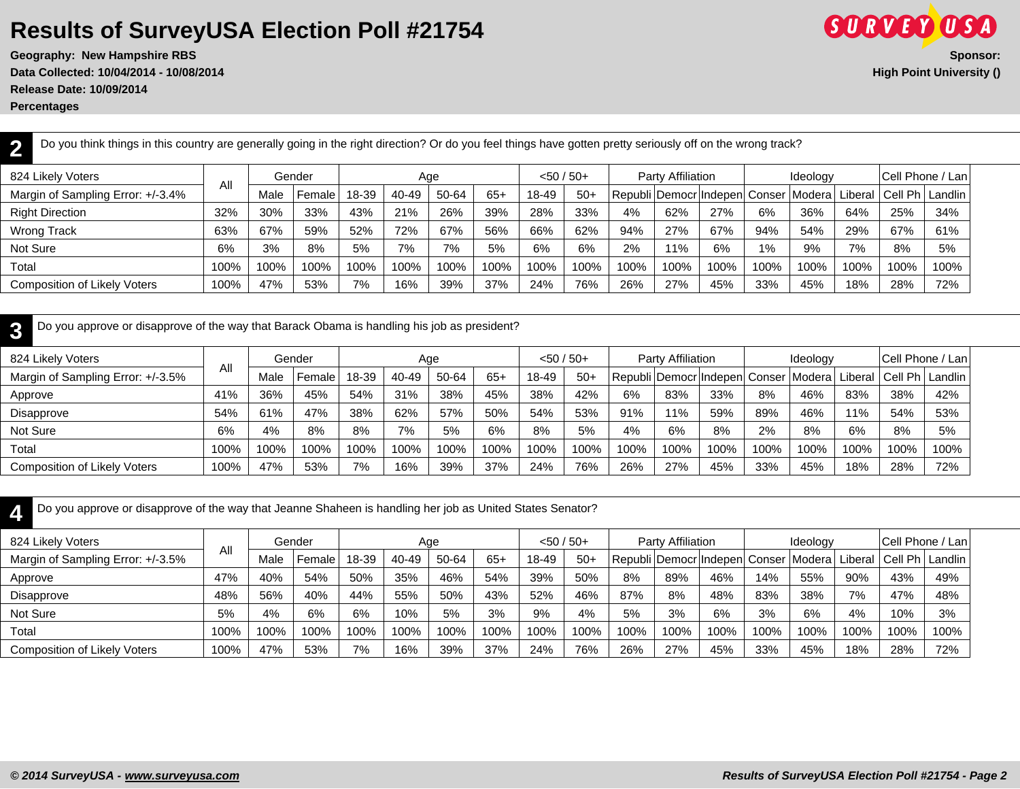**Geography: New Hampshire RBS Sponsor: Data Collected: 10/04/2014 - 10/08/2014 High Point University () Release Date: 10/09/2014**

**Percentages**

| Do you think things in this country are generally going in the right direction? Or do you feel things have gotten pretty seriously off on the wrong track? |      |      |        |       |       |       |       |              |       |      |                   |                                     |       |          |      |                                    |      |
|------------------------------------------------------------------------------------------------------------------------------------------------------------|------|------|--------|-------|-------|-------|-------|--------------|-------|------|-------------------|-------------------------------------|-------|----------|------|------------------------------------|------|
| 824 Likely Voters                                                                                                                                          | All  |      | Gender |       | Age   |       |       | $< 50 / 50+$ |       |      | Party Affiliation |                                     |       | Ideology |      | <b>Cell Phone / Lani</b>           |      |
| Margin of Sampling Error: +/-3.4%                                                                                                                          |      | Male | Female | 18-39 | 40-49 | 50-64 | $65+$ | 18-49        | $50+$ |      |                   | Republi   Democr   Indepen   Conser |       |          |      | Modera Liberal   Cell Ph   Landlin |      |
| <b>Right Direction</b>                                                                                                                                     | 32%  | 30%  | 33%    | 43%   | 21%   | 26%   | 39%   | 28%          | 33%   | 4%   | 62%               | 27%                                 | 6%    | 36%      | 64%  | 25%                                | 34%  |
| <b>Wrong Track</b>                                                                                                                                         | 63%  | 67%  | 59%    | 52%   | 72%   | 67%   | 56%   | 66%          | 62%   | 94%  | 27%               | 67%                                 | 94%   | 54%      | 29%  | 67%                                | 61%  |
| Not Sure                                                                                                                                                   | 6%   | 3%   | 8%     | 5%    | 7%    | 7%    | 5%    | 6%           | 6%    | 2%   | 11%               | 6%                                  | $1\%$ | 9%       | 7%   | 8%                                 | 5%   |
| Total                                                                                                                                                      | 100% | 100% | 100%   | 100%  | 100%  | 100%  | 100%  | 100%         | 100%  | 100% | 100%              | 100%                                | 100%  | 100%     | 100% | 100%                               | 100% |
| <b>Composition of Likely Voters</b>                                                                                                                        | 100% | 47%  | 53%    | 7%    | 16%   | 39%   | 37%   | 24%          | 76%   | 26%  | 27%               | 45%                                 | 33%   | 45%      | 18%  | 28%                                | 72%  |

| Do you approve or disapprove of the way that Barack Obama is handling his job as president? |      |      |        |       |       |       |       |              |       |      |                          |                        |      |                   |         |      |                   |
|---------------------------------------------------------------------------------------------|------|------|--------|-------|-------|-------|-------|--------------|-------|------|--------------------------|------------------------|------|-------------------|---------|------|-------------------|
| 824 Likely Voters                                                                           | All  |      | Gender |       | Age   |       |       | $< 50 / 50+$ |       |      | <b>Party Affiliation</b> |                        |      | Ideology          |         |      | Cell Phone / Lan  |
| Margin of Sampling Error: +/-3.5%                                                           |      | Male | Female | 18-39 | 40-49 | 50-64 | $65+$ | 18-49        | $50+$ |      |                          | Republi Democr Indepen |      | l Conser   Modera | Liberal |      | Cell Ph   Landlin |
| Approve                                                                                     | 41%  | 36%  | 45%    | 54%   | 31%   | 38%   | 45%   | 38%          | 42%   | 6%   | 83%                      | 33%                    | 8%   | 46%               | 83%     | 38%  | 42%               |
| Disapprove                                                                                  | 54%  | 61%  | 47%    | 38%   | 62%   | 57%   | 50%   | 54%          | 53%   | 91%  | 11%                      | 59%                    | 89%  | 46%               | 11%     | 54%  | 53%               |
| Not Sure                                                                                    | 6%   | 4%   | 8%     | 8%    | 7%    | 5%    | 6%    | 8%           | 5%    | 4%   | 6%                       | 8%                     | 2%   | 8%                | 6%      | 8%   | 5%                |
| Total                                                                                       | 100% | 100% | 100%   | 100%  | 100%  | 100%  | 100%  | 100%         | 100%  | 100% | 100%                     | 100%                   | 100% | 100%              | 100%    | 100% | 100%              |
| <b>Composition of Likely Voters</b>                                                         | 100% | 47%  | 53%    | 7%    | 16%   | 39%   | 37%   | 24%          | 76%   | 26%  | 27%                      | 45%                    | 33%  | 45%               | 18%     | 28%  | 72%               |

**4** Do you approve or disapprove of the way that Jeanne Shaheen is handling her job as United States Senator?

| 824 Likely Voters                   |      |      | Gender |       | Age   |       |       | $< 50 / 50 +$ |       |                                                                            | Party Affiliation |      |      | Ideology |      |      | Cell Phone / Lan |
|-------------------------------------|------|------|--------|-------|-------|-------|-------|---------------|-------|----------------------------------------------------------------------------|-------------------|------|------|----------|------|------|------------------|
| Margin of Sampling Error: +/-3.5%   | All  | Male | Female | 18-39 | 40-49 | 50-64 | $65+$ | 18-49         | $50+$ | Republi   Democr   Indepen   Conser   Modera   Liberal   Cell Ph   Landlin |                   |      |      |          |      |      |                  |
| Approve                             | 47%  | 40%  | 54%    | 50%   | 35%   | 46%   | 54%   | 39%           | 50%   | 8%                                                                         | 89%               | 46%  | 14%  | 55%      | 90%  | 43%  | 49%              |
| Disapprove                          | 48%  | 56%  | 40%    | 44%   | 55%   | 50%   | 43%   | 52%           | 46%   | 87%                                                                        | 8%                | 48%  | 83%  | 38%      | 7%   | 47%  | 48%              |
| Not Sure                            | 5%   | 4%   | 6%     | 6%    | 10%   | 5%    | 3%    | 9%            | 4%    | 5%                                                                         | 3%                | 6%   | 3%   | 6%       | 4%   | 10%  | 3%               |
| Total                               | 100% | 100% | 100%   | 100%  | 100%  | 100%  | 100%  | 100%          | 100%  | 100%                                                                       | 100%              | 100% | 100% | 100%     | 100% | 100% | 100%             |
| <b>Composition of Likely Voters</b> | 100% | 47%  | 53%    | 7%    | 16%   | 39%   | 37%   | 24%           | 76%   | 26%                                                                        | 27%               | 45%  | 33%  | 45%      | 18%  | 28%  | 72%              |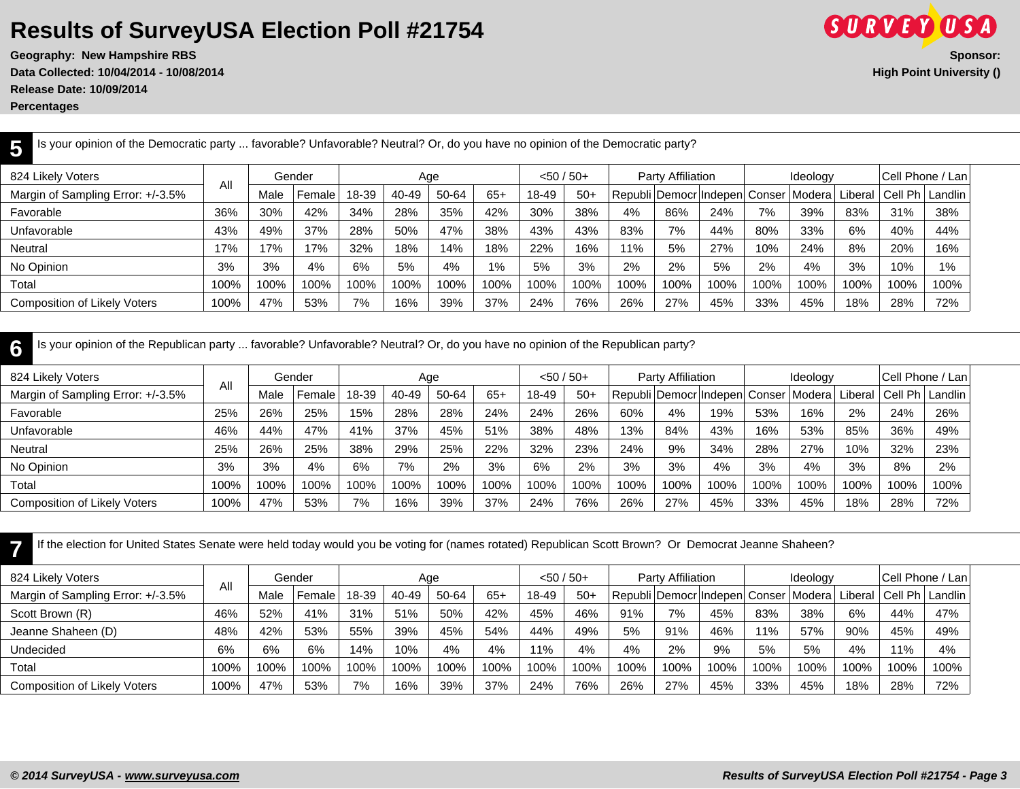**Geography: New Hampshire RBS Sponsor: Data Collected: 10/04/2014 - 10/08/2014 High Point University () Release Date: 10/09/2014**

**Percentages**

**5**

| 824 Likely Voters                   |      |      | Gender |       | Age   |       |       |       | $<$ 50 / 50+ |      | Party Affiliation |                                                     |      | Ideology |      | (Cell Phone / Lan <sup>1</sup> |       |
|-------------------------------------|------|------|--------|-------|-------|-------|-------|-------|--------------|------|-------------------|-----------------------------------------------------|------|----------|------|--------------------------------|-------|
| Margin of Sampling Error: +/-3.5%   | All  | Male | Female | 18-39 | 40-49 | 50-64 | $65+$ | 18-49 | $50+$        |      |                   | Republi   Democr Indepen  Conser   Modera   Liberal |      |          |      | Cell Ph   Landlin              |       |
| Favorable                           | 36%  | 30%  | 42%    | 34%   | 28%   | 35%   | 42%   | 30%   | 38%          | 4%   | 86%               | 24%                                                 | 7%   | 39%      | 83%  | 31%                            | 38%   |
| Unfavorable                         | 43%  | 49%  | 37%    | 28%   | 50%   | 47%   | 38%   | 43%   | 43%          | 83%  | 7%                | 44%                                                 | 80%  | 33%      | 6%   | 40%                            | 44%   |
| Neutral                             | 17%  | 17%  | 17%    | 32%   | 18%   | 14%   | 18%   | 22%   | 16%          | 11%  | 5%                | 27%                                                 | 10%  | 24%      | 8%   | 20%                            | 16%   |
| No Opinion                          | 3%   | 3%   | 4%     | 6%    | 5%    | 4%    | 1%    | 5%    | 3%           | 2%   | 2%                | 5%                                                  | 2%   | 4%       | 3%   | 10%                            | $1\%$ |
| Total                               | 100% | 100% | 100%   | 100%  | 100%  | 100%  | 100%  | 100%  | 100%         | 100% | 100%              | 100%                                                | 100% | 100%     | 100% | 100%                           | 100%  |
| <b>Composition of Likely Voters</b> | 100% | 47%  | 53%    | 7%    | 16%   | 39%   | 37%   | 24%   | 76%          | 26%  | 27%               | 45%                                                 | 33%  | 45%      | 18%  | 28%                            | 72%   |

**6** Is your opinion of the Republican party ... favorable? Unfavorable? Neutral? Or, do you have no opinion of the Republican party?

Is your opinion of the Democratic party ... favorable? Unfavorable? Neutral? Or, do you have no opinion of the Democratic party?

| 824 Likely Voters                   |      |      | Gender |       |       | Age   |       | $<$ 50 / 50+ |       |      | Party Affiliation                   |      |      | Ideology        |      | Cell Phone / Lan |           |
|-------------------------------------|------|------|--------|-------|-------|-------|-------|--------------|-------|------|-------------------------------------|------|------|-----------------|------|------------------|-----------|
| Margin of Sampling Error: +/-3.5%   | All  | Male | Female | 18-39 | 40-49 | 50-64 | $65+$ | 18-49        | $50+$ |      | Republi   Democr   Indepen   Conser |      |      | Modera  Liberal |      | $ Cell Ph $ .    | l Landlin |
| Favorable                           | 25%  | 26%  | 25%    | 15%   | 28%   | 28%   | 24%   | 24%          | 26%   | 60%  | 4%                                  | 19%  | 53%  | 16%             | 2%   | 24%              | 26%       |
| Unfavorable                         | 46%  | 44%  | 47%    | 41%   | 37%   | 45%   | 51%   | 38%          | 48%   | 13%  | 84%                                 | 43%  | 16%  | 53%             | 85%  | 36%              | 49%       |
| Neutral                             | 25%  | 26%  | 25%    | 38%   | 29%   | 25%   | 22%   | 32%          | 23%   | 24%  | 9%                                  | 34%  | 28%  | 27%             | 10%  | 32%              | 23%       |
| No Opinion                          | 3%   | 3%   | 4%     | 6%    | 7%    | 2%    | 3%    | 6%           | 2%    | 3%   | 3%                                  | 4%   | 3%   | 4%              | 3%   | 8%               | 2%        |
| Total                               | 100% | 100% | 100%   | 100%  | 100%  | 100%  | 100%  | 100%         | 100%  | 100% | 100%                                | 100% | 100% | 100%            | 100% | 100%             | 100%      |
| <b>Composition of Likely Voters</b> | 100% | 47%  | 53%    | 7%    | 16%   | 39%   | 37%   | 24%          | 76%   | 26%  | 27%                                 | 45%  | 33%  | 45%             | 18%  | 28%              | 72%       |

**7** If the election for United States Senate were held today would you be voting for (names rotated) Republican Scott Brown? Or Democrat Jeanne Shaheen?

| 824 Likely Voters                   |      |      | Gender |       | Age   |       |       | $< 50 / 50+$ |       |      | Party Affiliation |      |      | Ideology                                                                |      |      | <b>Cell Phone / Lani</b> |
|-------------------------------------|------|------|--------|-------|-------|-------|-------|--------------|-------|------|-------------------|------|------|-------------------------------------------------------------------------|------|------|--------------------------|
| Margin of Sampling Error: +/-3.5%   | Αll  | Male | Female | 18-39 | 40-49 | 50-64 | $65+$ | 18-49        | $50+$ |      |                   |      |      | Republi   Democr Indepen  Conser   Modera   Liberal   Cell Ph   Landlin |      |      |                          |
| Scott Brown (R)                     | 46%  | 52%  | 41%    | 31%   | 51%   | 50%   | 42%   | 45%          | 46%   | 91%  | 7%                | 45%  | 83%  | 38%                                                                     | 6%   | 44%  | 47%                      |
| Jeanne Shaheen (D)                  | 48%  | 42%  | 53%    | 55%   | 39%   | 45%   | 54%   | 44%          | 49%   | 5%   | 91%               | 46%  | 11%  | 57%                                                                     | 90%  | 45%  | 49%                      |
| Undecided                           | 6%   | 6%   | 6%     | 14%   | 10%   | 4%    | 4%    | 11%          | 4%    | 4%   | 2%                | 9%   | 5%   | 5%                                                                      | 4%   | 11%  | 4%                       |
| Total                               | 100% | 100% | 100%   | 100%  | 100%  | 100%  | 100%  | 100%         | 100%  | 100% | 100%              | 100% | 100% | 100%                                                                    | 100% | 100% | 100%                     |
| <b>Composition of Likely Voters</b> | 100% | 47%  | 53%    | 7%    | 16%   | 39%   | 37%   | 24%          | 76%   | 26%  | 27%               | 45%  | 33%  | 45%                                                                     | 18%  | 28%  | 72%                      |